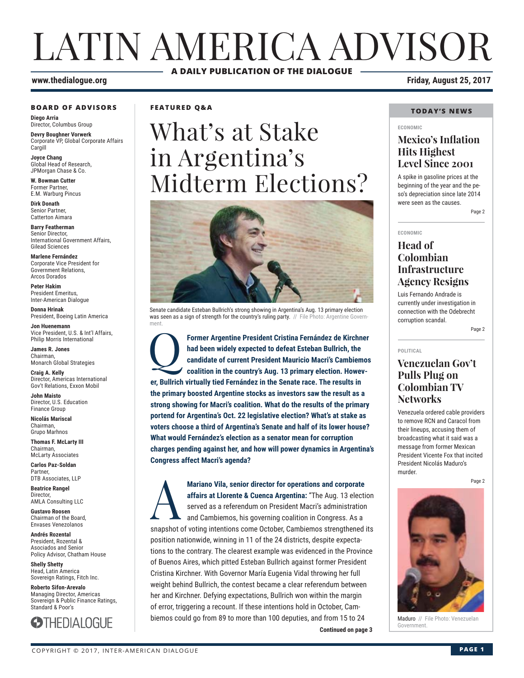# LATIN AMERICA ADVISOR **A DAILY PUBLICATION OF THE DIALOGUE**

### **www.thedialogue.org Friday, August 25, 2017**

#### **BOARD OF ADVISORS**

**Diego Arria** Director, Columbus Group

**Devry Boughner Vorwerk** Corporate VP, Global Corporate Affairs **Cargill** 

**Joyce Chang** Global Head of Research, JPMorgan Chase & Co.

**W. Bowman Cutter** Former Partner, E.M. Warburg Pincus

**Dirk Donath** Senior Partner, Catterton Aimara

**Barry Featherman** Senior Director, International Government Affairs, Gilead Sciences

**Marlene Fernández** Corporate Vice President for Government Relations, Arcos Dorados

**Peter Hakim** President Emeritus, Inter-American Dialogue

**Donna Hrinak** President, Boeing Latin America

**Jon Huenemann** Vice President, U.S. & Int'l Affairs, Philip Morris International

**James R. Jones** Chairman, Monarch Global Strategies

**Craig A. Kelly** Director, Americas International Gov't Relations, Exxon Mobil

**John Maisto** Director, U.S. Education Finance Group

**Nicolás Mariscal** Chairman, Grupo Marhnos

**Thomas F. McLarty III** Chairman, McLarty Associates

**Carlos Paz-Soldan** Partner, DTB Associates, LLP

**Beatrice Rangel**  Director, AMLA Consulting LLC

**Gustavo Roosen** Chairman of the Board, Envases Venezolanos

**Andrés Rozental**  President, Rozental & Asociados and Senior Policy Advisor, Chatham House

**Shelly Shetty** Head, Latin America Sovereign Ratings, Fitch Inc.

**Roberto Sifon-Arevalo** Managing Director, Americas Sovereign & Public Finance Ratings, Standard & Poor's

**STHEDIALOGUE** 

**FEATURED Q&A**

# What's at Stake in Argentina's Midterm Elections?



Senate candidate Esteban Bullrich's strong showing in Argentina's Aug. 13 primary election was seen as a sign of strength for the country's ruling party. // File Photo: Argentine Government.

Former Argentine President Cristina Fernández de Kirchner<br>had been widely expected to defeat Esteban Bullrich, the<br>candidate of current President Mauricio Macri's Cambiemos<br>coalition in the country's Aug. 13 primary electi **had been widely expected to defeat Esteban Bullrich, the candidate of current President Mauricio Macri's Cambiemos coalition in the country's Aug. 13 primary election. However, Bullrich virtually tied Fernández in the Senate race. The results in the primary boosted Argentine stocks as investors saw the result as a strong showing for Macri's coalition. What do the results of the primary portend for Argentina's Oct. 22 legislative election? What's at stake as voters choose a third of Argentina's Senate and half of its lower house? What would Fernández's election as a senator mean for corruption charges pending against her, and how will power dynamics in Argentina's Congress affect Macri's agenda?**

**Continued on page 3 Continued on page 3** A **Mariano Vila, senior director for operations and corporate affairs at Llorente & Cuenca Argentina:** "The Aug. 13 election served as a referendum on President Macri's administration and Cambiemos, his governing coalition in Congress. As a snapshot of voting intentions come October, Cambiemos strengthened its position nationwide, winning in 11 of the 24 districts, despite expectations to the contrary. The clearest example was evidenced in the Province of Buenos Aires, which pitted Esteban Bullrich against former President Cristina Kirchner. With Governor María Eugenia Vidal throwing her full weight behind Bullrich, the contest became a clear referendum between her and Kirchner. Defying expectations, Bullrich won within the margin of error, triggering a recount. If these intentions hold in October, Cambiemos could go from 89 to more than 100 deputies, and from 15 to 24

### **TODAY'S NEWS**

#### **ECONOMIC**

### **Mexico's Inflation Hits Highest Level Since 2001**

A spike in gasoline prices at the beginning of the year and the peso's depreciation since late 2014 were seen as the causes.

Page 2

#### **ECONOMIC**

### **Head of Colombian Infrastructure Agency Resigns**

Luis Fernando Andrade is currently under investigation in connection with the Odebrecht corruption scandal.

Page 2

#### **POLITICAL**

### **Venezuelan Gov't Pulls Plug on Colombian TV Networks**

Venezuela ordered cable providers to remove RCN and Caracol from their lineups, accusing them of broadcasting what it said was a message from former Mexican President Vicente Fox that incited President Nicolás Maduro's murder.

Page 2



Maduro // File Photo: Venezuelan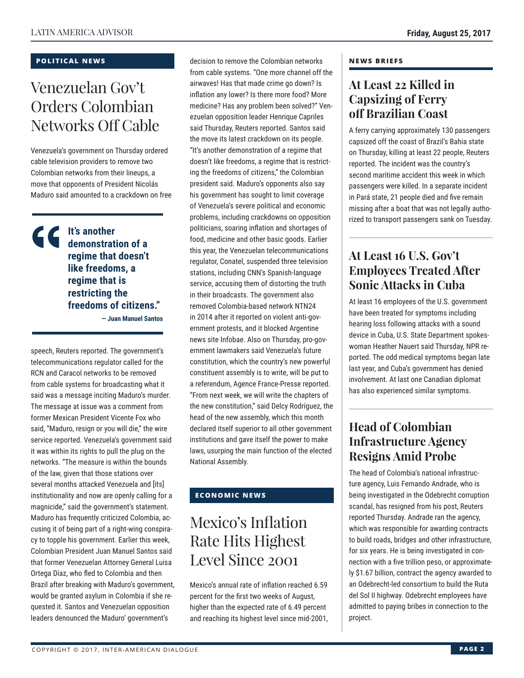### **POLITICAL NEWS**

# Venezuelan Gov't Orders Colombian Networks Off Cable

Venezuela's government on Thursday ordered cable television providers to remove two Colombian networks from their lineups, a move that opponents of President Nicolás Maduro said amounted to a crackdown on free

**It's another demonstration of a regime that doesn't like freedoms, a regime that is restricting the freedoms of citizens." — Juan Manuel Santos** 

speech, Reuters reported. The government's telecommunications regulator called for the RCN and Caracol networks to be removed from cable systems for broadcasting what it said was a message inciting Maduro's murder. The message at issue was a comment from former Mexican President Vicente Fox who said, "Maduro, resign or you will die," the wire service reported. Venezuela's government said it was within its rights to pull the plug on the networks. "The measure is within the bounds of the law, given that those stations over several months attacked Venezuela and [its] institutionality and now are openly calling for a magnicide," said the government's statement. Maduro has frequently criticized Colombia, accusing it of being part of a right-wing conspiracy to topple his government. Earlier this week, Colombian President Juan Manuel Santos said that former Venezuelan Attorney General Luisa Ortega Díaz, who fled to Colombia and then Brazil after breaking with Maduro's government, would be granted asylum in Colombia if she requested it. Santos and Venezuelan opposition leaders denounced the Maduro' government's

decision to remove the Colombian networks from cable systems. "One more channel off the airwaves! Has that made crime go down? Is inflation any lower? Is there more food? More medicine? Has any problem been solved?" Venezuelan opposition leader Henrique Capriles said Thursday, Reuters reported. Santos said the move its latest crackdown on its people. "It's another demonstration of a regime that doesn't like freedoms, a regime that is restricting the freedoms of citizens," the Colombian president said. Maduro's opponents also say his government has sought to limit coverage of Venezuela's severe political and economic problems, including crackdowns on opposition politicians, soaring inflation and shortages of food, medicine and other basic goods. Earlier this year, the Venezuelan telecommunications regulator, Conatel, suspended three television stations, including CNN's Spanish-language service, accusing them of distorting the truth in their broadcasts. The government also removed Colombia-based network NTN24 in 2014 after it reported on violent anti-government protests, and it blocked Argentine news site Infobae. Also on Thursday, pro-government lawmakers said Venezuela's future constitution, which the country's new powerful constituent assembly is to write, will be put to a referendum, Agence France-Presse reported. "From next week, we will write the chapters of the new constitution," said Delcy Rodríguez, the head of the new assembly, which this month declared itself superior to all other government institutions and gave itself the power to make laws, usurping the main function of the elected National Assembly.

### **ECONOMIC NEWS**

# Mexico's Inflation Rate Hits Highest Level Since 2001

Mexico's annual rate of inflation reached 6.59 percent for the first two weeks of August, higher than the expected rate of 6.49 percent and reaching its highest level since mid-2001,

### **NEWS BRIEFS**

### **At Least 22 Killed in Capsizing of Ferry off Brazilian Coast**

A ferry carrying approximately 130 passengers capsized off the coast of Brazil's Bahia state on Thursday, killing at least 22 people, Reuters reported. The incident was the country's second maritime accident this week in which passengers were killed. In a separate incident in Pará state, 21 people died and five remain missing after a boat that was not legally authorized to transport passengers sank on Tuesday.

### **At Least 16 U.S. Gov't Employees Treated After Sonic Attacks in Cuba**

At least 16 employees of the U.S. government have been treated for symptoms including hearing loss following attacks with a sound device in Cuba, U.S. State Department spokeswoman Heather Nauert said Thursday, NPR reported. The odd medical symptoms began late last year, and Cuba's government has denied involvement. At last one Canadian diplomat has also experienced similar symptoms.

### **Head of Colombian Infrastructure Agency Resigns Amid Probe**

The head of Colombia's national infrastructure agency, Luis Fernando Andrade, who is being investigated in the Odebrecht corruption scandal, has resigned from his post, Reuters reported Thursday. Andrade ran the agency, which was responsible for awarding contracts to build roads, bridges and other infrastructure, for six years. He is being investigated in connection with a five trillion peso, or approximately \$1.67 billion, contract the agency awarded to an Odebrecht-led consortium to build the Ruta del Sol II highway. Odebrecht employees have admitted to paying bribes in connection to the project.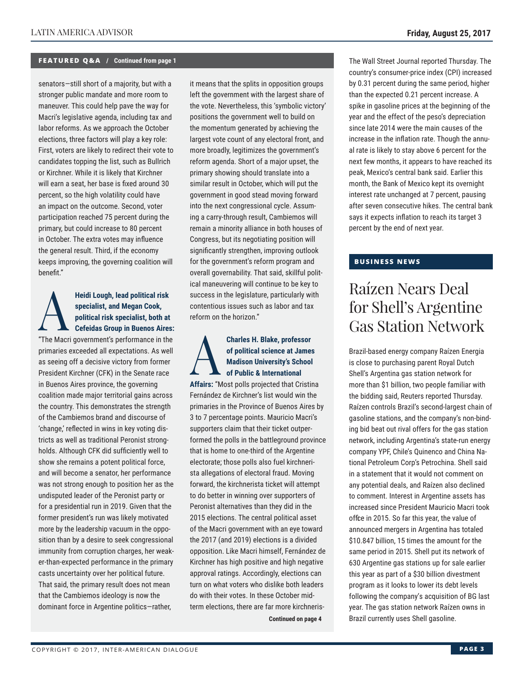#### **FEATURED Q&A / Continued from page 1**

senators—still short of a majority, but with a stronger public mandate and more room to maneuver. This could help pave the way for Macri's legislative agenda, including tax and labor reforms. As we approach the October elections, three factors will play a key role: First, voters are likely to redirect their vote to candidates topping the list, such as Bullrich or Kirchner. While it is likely that Kirchner will earn a seat, her base is fixed around 30 percent, so the high volatility could have an impact on the outcome. Second, voter participation reached 75 percent during the primary, but could increase to 80 percent in October. The extra votes may influence the general result. Third, if the economy keeps improving, the governing coalition will benefit."

### Heidi Lough, lead political risk<br>
specialist, and Megan Cook,<br>
political risk specialist, both at<br>
Cefeidas Group in Buenos Aires:<br>
"The Megi government's performance in the **specialist, and Megan Cook, political risk specialist, both at**  "The Macri government's performance in the

primaries exceeded all expectations. As well as seeing off a decisive victory from former President Kirchner (CFK) in the Senate race in Buenos Aires province, the governing coalition made major territorial gains across the country. This demonstrates the strength of the Cambiemos brand and discourse of 'change,' reflected in wins in key voting districts as well as traditional Peronist strongholds. Although CFK did sufficiently well to show she remains a potent political force, and will become a senator, her performance was not strong enough to position her as the undisputed leader of the Peronist party or for a presidential run in 2019. Given that the former president's run was likely motivated more by the leadership vacuum in the opposition than by a desire to seek congressional immunity from corruption charges, her weaker-than-expected performance in the primary casts uncertainty over her political future. That said, the primary result does not mean that the Cambiemos ideology is now the dominant force in Argentine politics—rather,

it means that the splits in opposition groups left the government with the largest share of the vote. Nevertheless, this 'symbolic victory' positions the government well to build on the momentum generated by achieving the largest vote count of any electoral front, and more broadly, legitimizes the government's reform agenda. Short of a major upset, the primary showing should translate into a similar result in October, which will put the government in good stead moving forward into the next congressional cycle. Assuming a carry-through result, Cambiemos will remain a minority alliance in both houses of Congress, but its negotiating position will significantly strengthen, improving outlook for the government's reform program and overall governability. That said, skillful political maneuvering will continue to be key to success in the legislature, particularly with contentious issues such as labor and tax reform on the horizon."

### **Charles H. Blake, professor**<br>of political science at James<br>Madison University's School<br>of Public & International<br>Affaire: "Meet pollo projected that Crietis **of political science at James Madison University's School of Public & International**

**Affairs:** "Most polls projected that Cristina Fernández de Kirchner's list would win the primaries in the Province of Buenos Aires by 3 to 7 percentage points. Mauricio Macri's supporters claim that their ticket outperformed the polls in the battleground province that is home to one-third of the Argentine electorate; those polls also fuel kirchnerista allegations of electoral fraud. Moving forward, the kirchnerista ticket will attempt to do better in winning over supporters of Peronist alternatives than they did in the 2015 elections. The central political asset of the Macri government with an eye toward the 2017 (and 2019) elections is a divided opposition. Like Macri himself, Fernández de Kirchner has high positive and high negative approval ratings. Accordingly, elections can turn on what voters who dislike both leaders do with their votes. In these October midterm elections, there are far more kirchneris-

**Continued on page 4** 

The Wall Street Journal reported Thursday. The country's consumer-price index (CPI) increased by 0.31 percent during the same period, higher than the expected 0.21 percent increase. A spike in gasoline prices at the beginning of the year and the effect of the peso's depreciation since late 2014 were the main causes of the increase in the inflation rate. Though the annual rate is likely to stay above 6 percent for the next few months, it appears to have reached its peak, Mexico's central bank said. Earlier this month, the Bank of Mexico kept its overnight interest rate unchanged at 7 percent, pausing after seven consecutive hikes. The central bank says it expects inflation to reach its target 3 percent by the end of next year.

### **BUSINESS NEWS**

## Raízen Nears Deal for Shell's Argentine Gas Station Network

Brazil-based energy company Raízen Energia is close to purchasing parent Royal Dutch Shell's Argentina gas station network for more than \$1 billion, two people familiar with the bidding said, Reuters reported Thursday. Raízen controls Brazil's second-largest chain of gasoline stations, and the company's non-binding bid beat out rival offers for the gas station network, including Argentina's state-run energy company YPF, Chile's Quinenco and China National Petroleum Corp's Petrochina. Shell said in a statement that it would not comment on any potential deals, and Raízen also declined to comment. Interest in Argentine assets has increased since President Mauricio Macri took office in 2015. So far this year, the value of announced mergers in Argentina has totaled \$10.847 billion, 15 times the amount for the same period in 2015. Shell put its network of 630 Argentine gas stations up for sale earlier this year as part of a \$30 billion divestment program as it looks to lower its debt levels following the company's acquisition of BG last year. The gas station network Raízen owns in Brazil currently uses Shell gasoline.